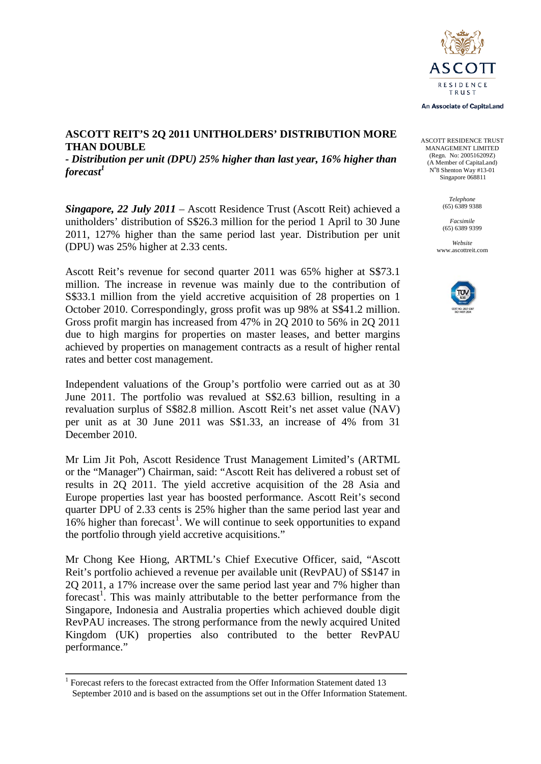

An Associate of CapitaLand

ASCOTT RESIDENCE TRUST MANAGEMENT LIMITED (Regn. No: 200516209Z) (A Member of CapitaLand) N°8 Shenton Way #13-01 Singapore 068811

> *Telephone* (65) 6389 9388

*Facsimile* (65) 6389 9399

*Website* www.ascottreit.com



### **ASCOTT REIT'S 2Q 2011 UNITHOLDERS' DISTRIBUTION MORE THAN DOUBLE**

*- Distribution per unit (DPU) 25% higher than last year, 16% higher than forecast<sup>1</sup>*

*Singapore, 22 July 2011* – Ascott Residence Trust (Ascott Reit) achieved a unitholders' distribution of S\$26.3 million for the period 1 April to 30 June 2011, 127% higher than the same period last year. Distribution per unit (DPU) was 25% higher at 2.33 cents.

Ascott Reit's revenue for second quarter 2011 was 65% higher at S\$73.1 million. The increase in revenue was mainly due to the contribution of S\$33.1 million from the yield accretive acquisition of 28 properties on 1 October 2010. Correspondingly, gross profit was up 98% at S\$41.2 million. Gross profit margin has increased from 47% in 2Q 2010 to 56% in 2Q 2011 due to high margins for properties on master leases, and better margins achieved by properties on management contracts as a result of higher rental rates and better cost management.

Independent valuations of the Group's portfolio were carried out as at 30 June 2011. The portfolio was revalued at S\$2.63 billion, resulting in a revaluation surplus of S\$82.8 million. Ascott Reit's net asset value (NAV) per unit as at 30 June 2011 was S\$1.33, an increase of 4% from 31 December 2010.

Mr Lim Jit Poh, Ascott Residence Trust Management Limited's (ARTML or the "Manager") Chairman, said: "Ascott Reit has delivered a robust set of results in 2Q 2011. The yield accretive acquisition of the 28 Asia and Europe properties last year has boosted performance. Ascott Reit's second quarter DPU of 2.33 cents is 25% higher than the same period last year and  $16%$  $16%$  higher than forecast<sup>1</sup>. We will continue to seek opportunities to expand the portfolio through yield accretive acquisitions."

Mr Chong Kee Hiong, ARTML's Chief Executive Officer, said, "Ascott Reit's portfolio achieved a revenue per available unit (RevPAU) of S\$147 in 2Q 2011, a 17% increase over the same period last year and 7% higher than forecast<sup>1</sup>. This was mainly attributable to the better performance from the Singapore, Indonesia and Australia properties which achieved double digit RevPAU increases. The strong performance from the newly acquired United Kingdom (UK) properties also contributed to the better RevPAU performance."

<span id="page-0-0"></span><sup>&</sup>lt;sup>1</sup> Forecast refers to the forecast extracted from the Offer Information Statement dated 13 September 2010 and is based on the assumptions set out in the Offer Information Statement.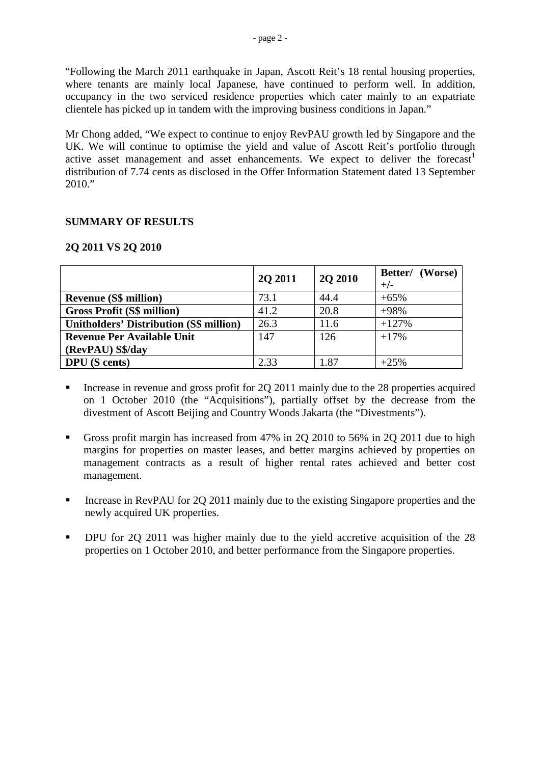"Following the March 2011 earthquake in Japan, Ascott Reit's 18 rental housing properties, where tenants are mainly local Japanese, have continued to perform well. In addition, occupancy in the two serviced residence properties which cater mainly to an expatriate clientele has picked up in tandem with the improving business conditions in Japan."

Mr Chong added, "We expect to continue to enjoy RevPAU growth led by Singapore and the UK. We will continue to optimise the yield and value of Ascott Reit's portfolio through active asset management and asset enhancements. We expect to deliver the forecast<sup>1</sup> distribution of 7.74 cents as disclosed in the Offer Information Statement dated 13 September  $2010."$ 

# **SUMMARY OF RESULTS**

# **2Q 2011 VS 2Q 2010**

|                                                | <b>20 20 11</b> | <b>2O 2010</b> | Better/ (Worse)<br>$+/-$ |
|------------------------------------------------|-----------------|----------------|--------------------------|
| <b>Revenue (S\$ million)</b>                   | 73.1            | 44.4           | $+65%$                   |
| <b>Gross Profit (S\$ million)</b>              | 41.2            | 20.8           | $+98%$                   |
| <b>Unitholders' Distribution (S\$ million)</b> | 26.3            | 11.6           | $+127%$                  |
| <b>Revenue Per Available Unit</b>              | 147             | 126            | $+17%$                   |
| (RevPAU) S\$/day                               |                 |                |                          |
| <b>DPU</b> (S cents)                           | 2.33            | 1.87           | $+25%$                   |

- Increase in revenue and gross profit for 2Q 2011 mainly due to the 28 properties acquired on 1 October 2010 (the "Acquisitions"), partially offset by the decrease from the divestment of Ascott Beijing and Country Woods Jakarta (the "Divestments").
- Gross profit margin has increased from 47% in 2Q 2010 to 56% in 2Q 2011 due to high margins for properties on master leases, and better margins achieved by properties on management contracts as a result of higher rental rates achieved and better cost management.
- Increase in RevPAU for 2Q 2011 mainly due to the existing Singapore properties and the newly acquired UK properties.
- DPU for 2Q 2011 was higher mainly due to the yield accretive acquisition of the 28 properties on 1 October 2010, and better performance from the Singapore properties.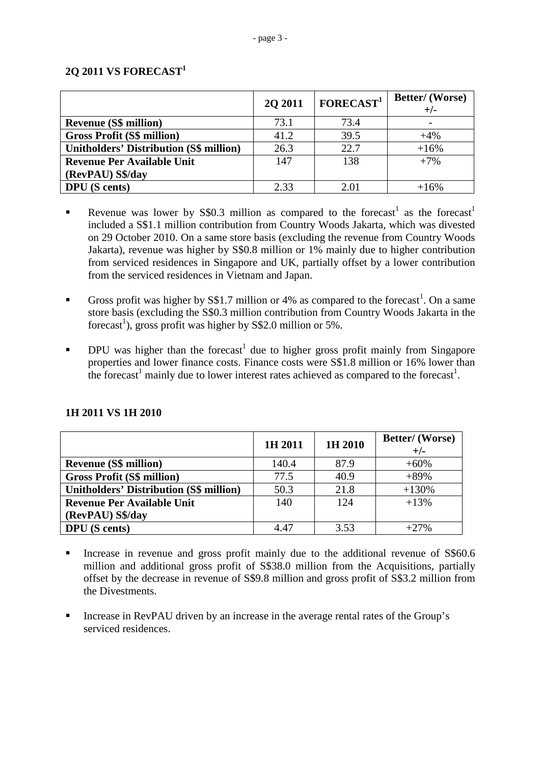# **2Q 2011 VS FORECAST<sup>1</sup>**

|                                                | 2Q 2011 | FORECAST <sup>1</sup> | Better/ (Worse)<br>$+/-$ |
|------------------------------------------------|---------|-----------------------|--------------------------|
| <b>Revenue (S\$ million)</b>                   | 73.1    | 73.4                  |                          |
| <b>Gross Profit (S\$ million)</b>              | 41.2    | 39.5                  | $+4%$                    |
| <b>Unitholders' Distribution (S\$ million)</b> | 26.3    | 22.7                  | $+16%$                   |
| <b>Revenue Per Available Unit</b>              | 147     | 138                   | $+7%$                    |
| (RevPAU) S\$/day                               |         |                       |                          |
| <b>DPU</b> (S cents)                           | 2.33    | 2.01                  | $+16%$                   |

- Revenue was lower by S\$0.3 million as compared to the forecast<sup>1</sup> as the forecast<sup>1</sup> included a S\$1.1 million contribution from Country Woods Jakarta, which was divested on 29 October 2010. On a same store basis (excluding the revenue from Country Woods Jakarta), revenue was higher by S\$0.8 million or 1% mainly due to higher contribution from serviced residences in Singapore and UK, partially offset by a lower contribution from the serviced residences in Vietnam and Japan.
- Gross profit was higher by S\$1.7 million or 4% as compared to the forecast<sup>1</sup>. On a same store basis (excluding the S\$0.3 million contribution from Country Woods Jakarta in the forecast<sup>1</sup>), gross profit was higher by S\$2.0 million or 5%.
- DPU was higher than the forecast<sup>1</sup> due to higher gross profit mainly from Singapore properties and lower finance costs. Finance costs were S\$1.8 million or 16% lower than the forecast<sup>1</sup> mainly due to lower interest rates achieved as compared to the forecast<sup>1</sup>.

|                                                | 1H 2011 | 1H 2010 | <b>Better/</b> (Worse)<br>$+/-$ |
|------------------------------------------------|---------|---------|---------------------------------|
| <b>Revenue (S\$ million)</b>                   | 140.4   | 87.9    | $+60%$                          |
| <b>Gross Profit (S\$ million)</b>              | 77.5    | 40.9    | $+89%$                          |
| <b>Unitholders' Distribution (S\$ million)</b> | 50.3    | 21.8    | $+130%$                         |
| <b>Revenue Per Available Unit</b>              | 140     | 124     | $+13%$                          |
| (RevPAU) S\$/day                               |         |         |                                 |
| <b>DPU</b> (S cents)                           | 4.47    | 3.53    | $+27\%$                         |

# **1H 2011 VS 1H 2010**

- Increase in revenue and gross profit mainly due to the additional revenue of S\$60.6 million and additional gross profit of S\$38.0 million from the Acquisitions, partially offset by the decrease in revenue of S\$9.8 million and gross profit of S\$3.2 million from the Divestments.
- Increase in RevPAU driven by an increase in the average rental rates of the Group's serviced residences.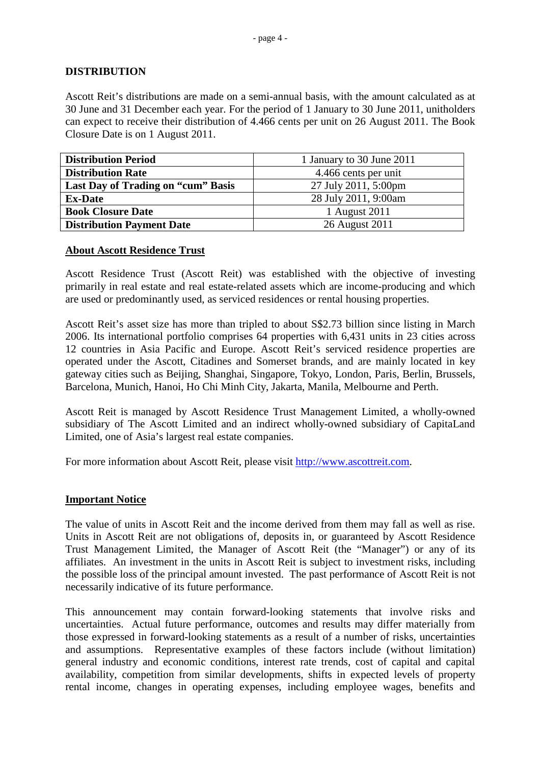# **DISTRIBUTION**

Ascott Reit's distributions are made on a semi-annual basis, with the amount calculated as at 30 June and 31 December each year. For the period of 1 January to 30 June 2011, unitholders can expect to receive their distribution of 4.466 cents per unit on 26 August 2011. The Book Closure Date is on 1 August 2011.

| <b>Distribution Period</b>         | 1 January to 30 June 2011 |
|------------------------------------|---------------------------|
| <b>Distribution Rate</b>           | 4.466 cents per unit      |
| Last Day of Trading on "cum" Basis | 27 July 2011, 5:00pm      |
| <b>Ex-Date</b>                     | 28 July 2011, 9:00am      |
| <b>Book Closure Date</b>           | 1 August 2011             |
| <b>Distribution Payment Date</b>   | 26 August 2011            |

### **About Ascott Residence Trust**

Ascott Residence Trust (Ascott Reit) was established with the objective of investing primarily in real estate and real estate-related assets which are income-producing and which are used or predominantly used, as serviced residences or rental housing properties.

Ascott Reit's asset size has more than tripled to about S\$2.73 billion since listing in March 2006. Its international portfolio comprises 64 properties with 6,431 units in 23 cities across 12 countries in Asia Pacific and Europe. Ascott Reit's serviced residence properties are operated under the Ascott, Citadines and Somerset brands, and are mainly located in key gateway cities such as Beijing, Shanghai, Singapore, Tokyo, London, Paris, Berlin, Brussels, Barcelona, Munich, Hanoi, Ho Chi Minh City, Jakarta, Manila, Melbourne and Perth.

Ascott Reit is managed by Ascott Residence Trust Management Limited, a wholly-owned subsidiary of The Ascott Limited and an indirect wholly-owned subsidiary of CapitaLand Limited, one of Asia's largest real estate companies.

For more information about Ascott Reit, please visit [http://www.ascottreit.com.](http://www.ascottreit.com/)

### **Important Notice**

The value of units in Ascott Reit and the income derived from them may fall as well as rise. Units in Ascott Reit are not obligations of, deposits in, or guaranteed by Ascott Residence Trust Management Limited, the Manager of Ascott Reit (the "Manager") or any of its affiliates. An investment in the units in Ascott Reit is subject to investment risks, including the possible loss of the principal amount invested. The past performance of Ascott Reit is not necessarily indicative of its future performance.

This announcement may contain forward-looking statements that involve risks and uncertainties. Actual future performance, outcomes and results may differ materially from those expressed in forward-looking statements as a result of a number of risks, uncertainties and assumptions. Representative examples of these factors include (without limitation) general industry and economic conditions, interest rate trends, cost of capital and capital availability, competition from similar developments, shifts in expected levels of property rental income, changes in operating expenses, including employee wages, benefits and